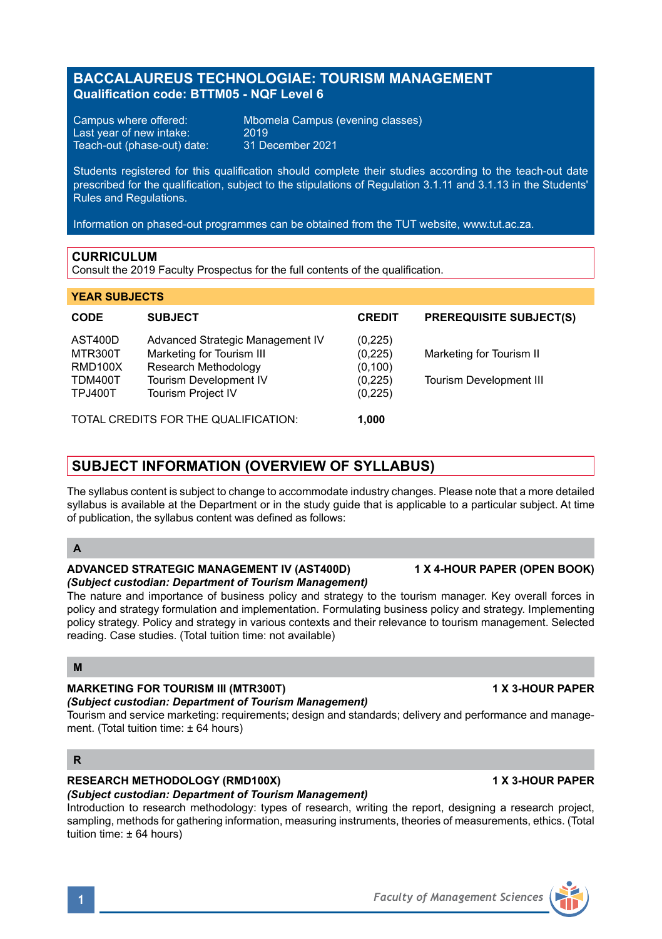# **BACCALAUREUS TECHNOLOGIAE: TOURISM MANAGEMENT Qualification code: BTTM05 - NQF Level 6**

Last year of new intake: 2019<br>Teach-out (phase-out) date: 31 December 2021 Teach-out (phase-out) date:

Campus where offered: Mbomela Campus (evening classes)

Students registered for this qualification should complete their studies according to the teach-out date prescribed for the qualification, subject to the stipulations of Regulation 3.1.11 and 3.1.13 in the Students' Rules and Regulations.

Information on phased-out programmes can be obtained from the TUT website, www.tut.ac.za.

#### **CURRICULUM**

Consult the 2019 Faculty Prospectus for the full contents of the qualification.

#### **YEAR SUBJECTS**

| <b>CODE</b>                          | <b>SUBJECT</b>                   | <b>CREDIT</b> | <b>PREREQUISITE SUBJECT(S)</b> |
|--------------------------------------|----------------------------------|---------------|--------------------------------|
| AST400D                              | Advanced Strategic Management IV | (0, 225)      |                                |
| MTR300T                              | Marketing for Tourism III        | (0, 225)      | Marketing for Tourism II       |
| RMD100X                              | Research Methodology             | (0, 100)      |                                |
| TDM400T                              | Tourism Development IV           | (0,225)       | <b>Tourism Development III</b> |
| <b>TPJ400T</b>                       | <b>Tourism Project IV</b>        | (0, 225)      |                                |
| TOTAL CREDITS FOR THE QUALIFICATION: |                                  | 1.000         |                                |

# **SUBJECT INFORMATION (OVERVIEW OF SYLLABUS)**

The syllabus content is subject to change to accommodate industry changes. Please note that a more detailed syllabus is available at the Department or in the study guide that is applicable to a particular subject. At time of publication, the syllabus content was defined as follows:

### **A**

#### **ADVANCED STRATEGIC MANAGEMENT IV (AST400D) 1 X 4-HOUR PAPER (OPEN BOOK)** *(Subject custodian: Department of Tourism Management)*

The nature and importance of business policy and strategy to the tourism manager. Key overall forces in policy and strategy formulation and implementation. Formulating business policy and strategy. Implementing policy strategy. Policy and strategy in various contexts and their relevance to tourism management. Selected reading. Case studies. (Total tuition time: not available)

#### **M**

# **MARKETING FOR TOURISM III (MTR300T) 1 X 3-HOUR PAPER**

# *(Subject custodian: Department of Tourism Management)*

Tourism and service marketing: requirements; design and standards; delivery and performance and management. (Total tuition time: ± 64 hours)

## **R**

# **RESEARCH METHODOLOGY (RMD100X) 1 X 3-HOUR PAPER**

#### *(Subject custodian: Department of Tourism Management)*

Introduction to research methodology: types of research, writing the report, designing a research project, sampling, methods for gathering information, measuring instruments, theories of measurements, ethics. (Total tuition time: ± 64 hours)

# **1** *Faculty of Management Sciences*